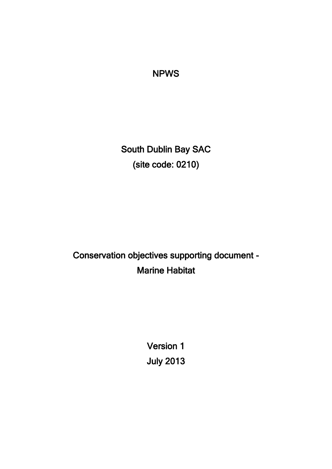### NPWS

South Dublin Bay SAC (site code: 0210)

Conservation objectives supporting document - Marine Habitat

> Version 1 July 2013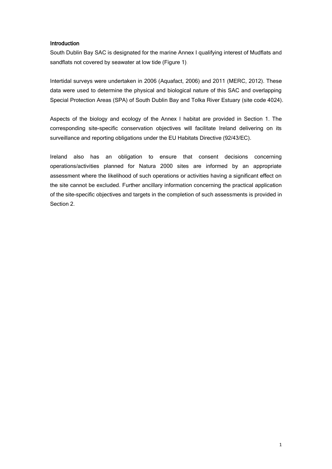#### Introduction

South Dublin Bay SAC is designated for the marine Annex I qualifying interest of Mudflats and sandflats not covered by seawater at low tide (Figure 1).

Intertidal surveys were undertaken in 2006 (Aquafact, 2006) and 2011 (MERC, 2012). These data were used to determine the physical and biological nature of this SAC and overlapping Special Protection Areas (SPA) of South Dublin Bay and Tolka River Estuary (site code 4024).

Aspects of the biology and ecology of the Annex I habitat are provided in Section 1. The corresponding site-specific conservation objectives will facilitate Ireland delivering on its surveillance and reporting obligations under the EU Habitats Directive (92/43/EC).

Ireland also has an obligation to ensure that consent decisions concerning operations/activities planned for Natura 2000 sites are informed by an appropriate assessment where the likelihood of such operations or activities having a significant effect on the site cannot be excluded. Further ancillary information concerning the practical application of the site-specific objectives and targets in the completion of such assessments is provided in Section 2.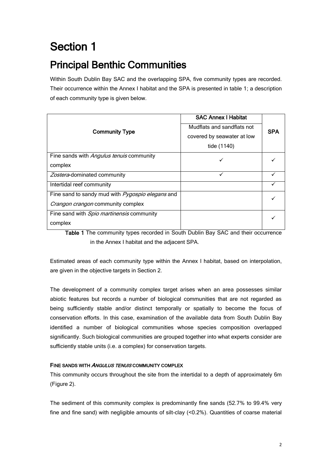# Section 1

## Principal Benthic Communities

Within South Dublin Bay SAC and the overlapping SPA, five community types are recorded. Their occurrence within the Annex I habitat and the SPA is presented in table 1; a description of each community type is given below.

|                                                         | <b>SAC Annex I Habitat</b> |            |  |  |
|---------------------------------------------------------|----------------------------|------------|--|--|
| <b>Community Type</b>                                   | Mudflats and sandflats not | <b>SPA</b> |  |  |
|                                                         | covered by seawater at low |            |  |  |
|                                                         | tide (1140)                |            |  |  |
| Fine sands with Angulus tenuis community                |                            |            |  |  |
| complex                                                 |                            |            |  |  |
| Zostera-dominated community                             | ✓                          |            |  |  |
| Intertidal reef community                               |                            |            |  |  |
| Fine sand to sandy mud with <i>Pygospio elegans</i> and |                            |            |  |  |
| Crangon crangon community complex                       |                            |            |  |  |
| Fine sand with Spio martinensis community               |                            |            |  |  |
| complex                                                 |                            |            |  |  |

Table 1 The community types recorded in South Dublin Bay SAC and their occurrence in the Annex I habitat and the adjacent SPA.

Estimated areas of each community type within the Annex I habitat, based on interpolation, are given in the objective targets in Section 2.

The development of a community complex target arises when an area possesses similar abiotic features but records a number of biological communities that are not regarded as being sufficiently stable and/or distinct temporally or spatially to become the focus of conservation efforts. In this case, examination of the available data from South Dublin Bay identified a number of biological communities whose species composition overlapped significantly. Such biological communities are grouped together into what experts consider are sufficiently stable units (i.e. a complex) for conservation targets.

#### FINE SANDS WITH ANGULUS TENUIS COMMUNITY COMPLEX

This community occurs throughout the site from the intertidal to a depth of approximately 6m (Figure 2).

The sediment of this community complex is predominantly fine sands (52.7% to 99.4% very fine and fine sand) with negligible amounts of silt-clay (<0.2%). Quantities of coarse material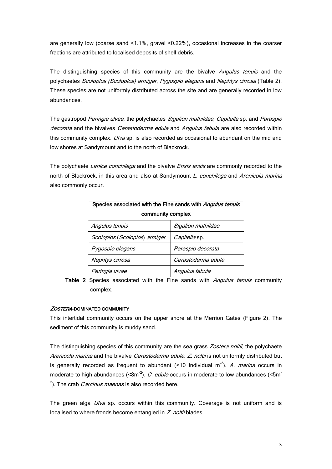are generally low (coarse sand <1.1%, gravel <0.22%), occasional increases in the coarser fractions are attributed to localised deposits of shell debris.

The distinguishing species of this community are the bivalve *Angulus tenuis* and the polychaetes Scoloplos (Scoloplos) armiger, Pygospio elegans and Nephtys cirrosa (Table 2). These species are not uniformly distributed across the site and are generally recorded in low abundances.

The gastropod Peringia ulvae, the polychaetes Sigalion mathildae, Capitella sp. and Paraspio decorata and the bivalves Cerastoderma edule and Angulus fabula are also recorded within this community complex. *Ulva* sp. is also recorded as occasional to abundant on the mid and low shores at Sandymount and to the north of Blackrock.

The polychaete Lanice conchilega and the bivalve Ensis ensis are commonly recorded to the north of Blackrock, in this area and also at Sandymount L. conchilega and Arenicola marina also commonly occur.

| Species associated with the Fine sands with Angulus tenuis |                      |  |
|------------------------------------------------------------|----------------------|--|
| community complex                                          |                      |  |
| Angulus tenuis                                             | Sigalion mathildae   |  |
| Scoloplos (Scoloplos) armiger                              | <i>Capitella</i> sp. |  |
| Pygospio elegans                                           | Paraspio decorata    |  |
| Nephtys cirrosa                                            | Cerastoderma edule   |  |
| Peringia ulvae                                             | Angulus fabula       |  |

Table 2 Species associated with the Fine sands with Angulus tenuis community complex.

#### ZOSTERA-DOMINATED COMMUNITY

This intertidal community occurs on the upper shore at the Merrion Gates (Figure 2). The sediment of this community is muddy sand.

The distinguishing species of this community are the sea grass Zostera noltii, the polychaete Arenicola marina and the bivalve Cerastoderma edule. Z. noltii is not uniformly distributed but is generally recorded as frequent to abundant  $(<10$  individual m<sup>-2</sup>). A. marina occurs in moderate to high abundances (<8m<sup>-2</sup>). C. edule occurs in moderate to low abundances (<5m<sup>-</sup>  $^{2}$ ). The crab *Carcinus maenas* is also recorded here.

The green alga *Ulva* sp. occurs within this community. Coverage is not uniform and is localised to where fronds become entangled in Z. noltii blades.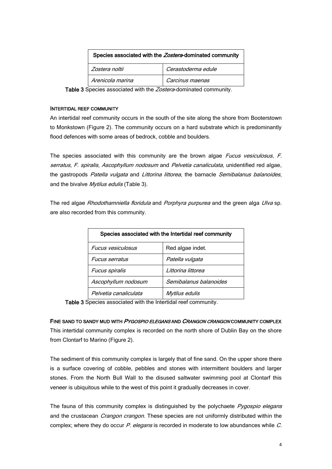| Species associated with the Zostera-dominated community |                    |  |
|---------------------------------------------------------|--------------------|--|
| Zostera noltii                                          | Cerastoderma edule |  |
| Arenicola marina                                        | Carcinus maenas    |  |

Table 3 Species associated with the Zostera-dominated community.

#### INTERTIDAL REEF COMMUNITY

An intertidal reef community occurs in the south of the site along the shore from Booterstown to Monkstown (Figure 2). The community occurs on a hard substrate which is predominantly flood defences with some areas of bedrock, cobble and boulders.

The species associated with this community are the brown algae *Fucus vesiculosus*, F. serratus, F. spiralis, Ascophyllum nodosum and Pelvetia canaliculata, unidentified red algae, the gastropods Patella vulgata and Littorina littorea, the barnacle Semibalanus balanoides, and the bivalve Mytilus edulis (Table 3).

The red algae Rhodothamniella floridula and Porphyra purpurea and the green alga Ulva sp. are also recorded from this community.

| Species associated with the Intertidal reef community |                        |  |
|-------------------------------------------------------|------------------------|--|
| <b>Fucus vesiculosus</b>                              | Red algae indet.       |  |
| <i><b>Fucus serratus</b></i>                          | Patella vulgata        |  |
| <b>Fucus spiralis</b>                                 | Littorina littorea     |  |
| Ascophyllum nodosum                                   | Semibalanus balanoides |  |
| Pelvetia canaliculata                                 | Mytilus edulis         |  |

Table 3 Species associated with the Intertidal reef community.

FINE SAND TO SANDY MUD WITH PYGOSPIO ELEGANS AND CRANGON CRANGON COMMUNITY COMPLEX This intertidal community complex is recorded on the north shore of Dublin Bay on the shore from Clontarf to Marino (Figure 2).

The sediment of this community complex is largely that of fine sand. On the upper shore there is a surface covering of cobble, pebbles and stones with intermittent boulders and larger stones. From the North Bull Wall to the disused saltwater swimming pool at Clontarf this veneer is ubiquitous while to the west of this point it gradually decreases in cover.

The fauna of this community complex is distinguished by the polychaete *Pygospio elegans* and the crustacean *Crangon crangon*. These species are not uniformly distributed within the complex; where they do occur  $P$ . elegans is recorded in moderate to low abundances while  $C$ .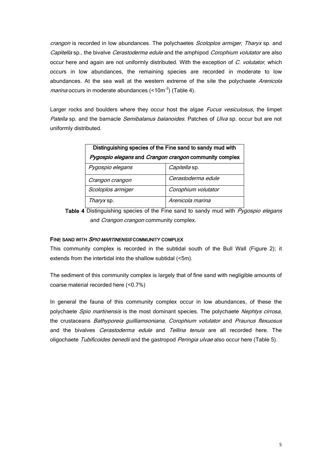crangon is recorded in low abundances. The polychaetes Scoloplos armiger, Tharyx sp. and Capitella sp., the bivalve Cerastoderma edule and the amphipod Corophium volutator are also occur here and again are not uniformly distributed. With the exception of C. volutator, which occurs in low abundances, the remaining species are recorded in moderate to low abundances. At the sea wall at the western extreme of the site the polychaete Arenicola *marina* occurs in moderate abundances (<10m<sup>-2</sup>) (Table 4).

Larger rocks and boulders where they occur host the algae *Fucus vesiculosus*, the limpet Patella sp. and the barnacle Semibalanus balanoides. Patches of Ulva sp. occur but are not uniformly distributed.

| Distinguishing species of the Fine sand to sandy mud with |                     |  |
|-----------------------------------------------------------|---------------------|--|
| Pygospio elegans and Crangon crangon community complex    |                     |  |
| Pygospio elegans                                          | Capitella sp.       |  |
| Crangon crangon                                           | Cerastoderma edule  |  |
| Scoloplos armiger                                         | Corophium volutator |  |
| <i>Tharyx</i> sp.                                         | Arenicola marina    |  |

Table 4 Distinguishing species of the Fine sand to sandy mud with  $P_ygospio$  elegans and *Crangon crangon* community complex.

#### FINE SAND WITH SPIO MARTINENSIS COMMUNITY COMPLEX

This community complex is recorded in the subtidal south of the Bull Wall (Figure 2); it extends from the intertidal into the shallow subtidal (<5m).

The sediment of this community complex is largely that of fine sand with negligible amounts of coarse material recorded here (<0.7%)

In general the fauna of this community complex occur in low abundances, of these the polychaete *Spio martinensis* is the most dominant species. The polychaete *Nephtys cirrosa*, the crustaceans Bathyporeia quilliamsoniana, Corophium volutator and Praunus flexuosus and the bivalves Cerastoderma edule and Tellina tenuis are all recorded here. The oligochaete Tubificoides benedii and the gastropod Peringia ulvae also occur here (Table 5).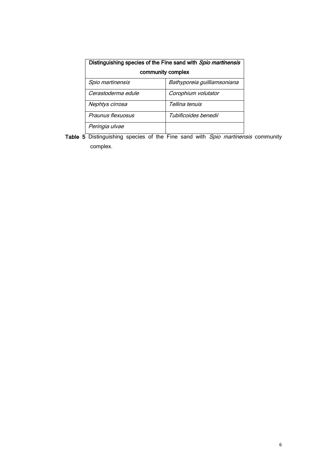| Distinguishing species of the Fine sand with Spio martinensis |                             |  |
|---------------------------------------------------------------|-----------------------------|--|
| community complex                                             |                             |  |
| Spio martinensis                                              | Bathyporeia guilliamsoniana |  |
| Cerastoderma edule                                            | Corophium volutator         |  |
| Nephtys cirrosa                                               | Tellina tenuis              |  |
| Praunus flexuosus                                             | Tubificoides benedii        |  |
| Peringia ulvae                                                |                             |  |

Table 5 Distinguishing species of the Fine sand with *Spio martinensis* community complex.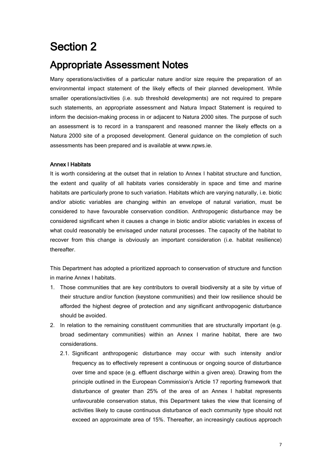## Section 2

### Appropriate Assessment Notes

Many operations/activities of a particular nature and/or size require the preparation of an environmental impact statement of the likely effects of their planned development. While smaller operations/activities (i.e. sub threshold developments) are not required to prepare such statements, an appropriate assessment and Natura Impact Statement is required to inform the decision-making process in or adjacent to Natura 2000 sites. The purpose of such an assessment is to record in a transparent and reasoned manner the likely effects on a Natura 2000 site of a proposed development. General guidance on the completion of such assessments has been prepared and is available at www.npws.ie.

#### Annex I Habitats

It is worth considering at the outset that in relation to Annex I habitat structure and function, the extent and quality of all habitats varies considerably in space and time and marine habitats are particularly prone to such variation. Habitats which are varying naturally, i.e. biotic and/or abiotic variables are changing within an envelope of natural variation, must be considered to have favourable conservation condition. Anthropogenic disturbance may be considered significant when it causes a change in biotic and/or abiotic variables in excess of what could reasonably be envisaged under natural processes. The capacity of the habitat to recover from this change is obviously an important consideration (i.e. habitat resilience) thereafter.

This Department has adopted a prioritized approach to conservation of structure and function in marine Annex I habitats.

- 1. Those communities that are key contributors to overall biodiversity at a site by virtue of their structure and/or function (keystone communities) and their low resilience should be afforded the highest degree of protection and any significant anthropogenic disturbance should be avoided.
- 2. In relation to the remaining constituent communities that are structurally important (e.g. broad sedimentary communities) within an Annex I marine habitat, there are two considerations.
	- 2.1. Significant anthropogenic disturbance may occur with such intensity and/or frequency as to effectively represent a continuous or ongoing source of disturbance over time and space (e.g. effluent discharge within a given area). Drawing from the principle outlined in the European Commission's Article 17 reporting framework that disturbance of greater than 25% of the area of an Annex I habitat represents unfavourable conservation status, this Department takes the view that licensing of activities likely to cause continuous disturbance of each community type should not exceed an approximate area of 15%. Thereafter, an increasingly cautious approach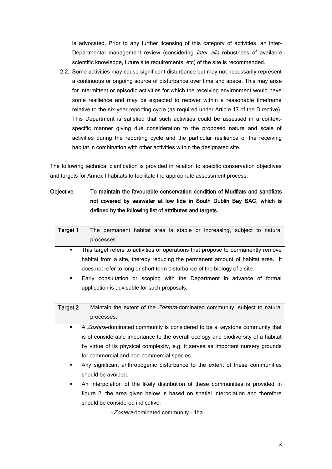is advocated. Prior to any further licensing of this category of activities, an inter-Departmental management review (considering *inter alia* robustness of available scientific knowledge, future site requirements, etc) of the site is recommended.

2.2. Some activities may cause significant disturbance but may not necessarily represent a continuous or ongoing source of disturbance over time and space. This may arise for intermittent or episodic activities for which the receiving environment would have some resilience and may be expected to recover within a reasonable timeframe relative to the six-year reporting cycle (as required under Article 17 of the Directive). This Department is satisfied that such activities could be assessed in a contextspecific manner giving due consideration to the proposed nature and scale of activities during the reporting cycle and the particular resilience of the receiving habitat in combination with other activities within the designated site.

The following technical clarification is provided in relation to specific conservation objectives and targets for Annex I habitats to facilitate the appropriate assessment process:

#### Objective To maintain the favourable conservation condition of Mudflats and sandflats not covered by seawater at low tide in South Dublin Bay SAC, which is defined by the following list of attributes and targets.

| Target 1 |            |  |  | The permanent habitat area is stable or increasing, subject to natural |  |  |
|----------|------------|--|--|------------------------------------------------------------------------|--|--|
|          | processes. |  |  |                                                                        |  |  |

- This target refers to activities or operations that propose to permanently remove habitat from a site, thereby reducing the permanent amount of habitat area. It does not refer to long or short term disturbance of the biology of a site.
- Early consultation or scoping with the Department in advance of formal application is advisable for such proposals.

| Target 2 | Maintain the extent of the <i>Zostera</i> -dominated community, subject to natural |
|----------|------------------------------------------------------------------------------------|
|          | processes.                                                                         |

- A Zostera-dominated community is considered to be a keystone community that is of considerable importance to the overall ecology and biodiversity of a habitat by virtue of its physical complexity, e.g. it serves as important nursery grounds for commercial and non-commercial species.
- Any significant anthropogenic disturbance to the extent of these communities should be avoided.
- An interpolation of the likely distribution of these communities is provided in figure 2. the area given below is based on spatial interpolation and therefore should be considered indicative:

- *Zostera-*dominated community - 4ha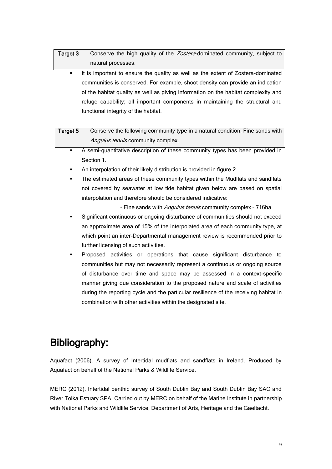| Target 3 | Conserve the high quality of the <i>Zostera</i> -dominated community, subject to |
|----------|----------------------------------------------------------------------------------|
|          | natural processes.                                                               |

 It is important to ensure the quality as well as the extent of Zostera-dominated communities is conserved. For example, shoot density can provide an indication of the habitat quality as well as giving information on the habitat complexity and refuge capability; all important components in maintaining the structural and functional integrity of the habitat.

| Target 5 | Conserve the following community type in a natural condition: Fine sands with |
|----------|-------------------------------------------------------------------------------|
|          | <i>Angulus tenuis</i> community complex.                                      |

- A semi-quantitative description of these community types has been provided in Section 1.
- An interpolation of their likely distribution is provided in figure 2.
- The estimated areas of these community types within the Mudflats and sandflats not covered by seawater at low tide habitat given below are based on spatial interpolation and therefore should be considered indicative:

- Fine sands with *Angulus tenuis* community complex - 716ha

- Significant continuous or ongoing disturbance of communities should not exceed an approximate area of 15% of the interpolated area of each community type, at which point an inter-Departmental management review is recommended prior to further licensing of such activities.
- Proposed activities or operations that cause significant disturbance to communities but may not necessarily represent a continuous or ongoing source of disturbance over time and space may be assessed in a context-specific manner giving due consideration to the proposed nature and scale of activities during the reporting cycle and the particular resilience of the receiving habitat in combination with other activities within the designated site.

## Bibliography:

Aquafact (2006). A survey of Intertidal mudflats and sandflats in Ireland. Produced by Aquafact on behalf of the National Parks & Wildlife Service.

MERC (2012). Intertidal benthic survey of South Dublin Bay and South Dublin Bay SAC and River Tolka Estuary SPA. Carried out by MERC on behalf of the Marine Institute in partnership with National Parks and Wildlife Service, Department of Arts, Heritage and the Gaeltacht.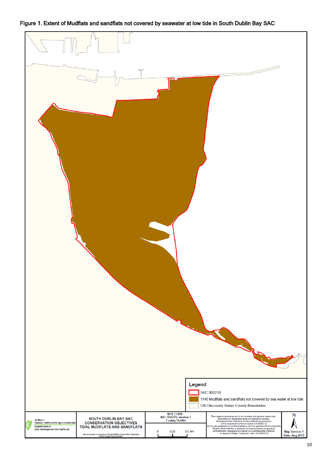